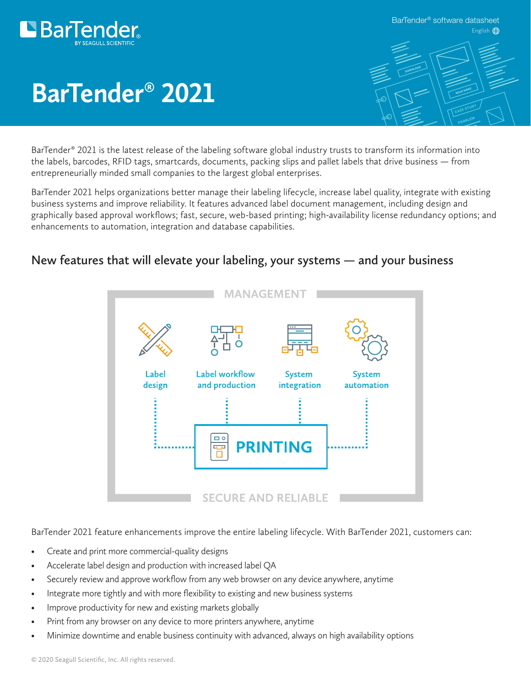

English<sup><sup>6</sup></sup> BarTender® software datasheet



# **BarTender® 2021**

BarTender® 2021 is the latest release of the labeling software global industry trusts to transform its information into the labels, barcodes, RFID tags, smartcards, documents, packing slips and pallet labels that drive business — from entrepreneurially minded small companies to the largest global enterprises.

BarTender 2021 helps organizations better manage their labeling lifecycle, increase label quality, integrate with existing business systems and improve reliability. It features advanced label document management, including design and graphically based approval workflows; fast, secure, web-based printing; high-availability license redundancy options; and enhancements to automation, integration and database capabilities.

#### **New features that will elevate your labeling, your systems — and your business**



BarTender 2021 feature enhancements improve the entire labeling lifecycle. With BarTender 2021, customers can:

- Create and print more commercial-quality designs
- Accelerate label design and production with increased label QA
- Securely review and approve workflow from any web browser on any device anywhere, anytime
- Integrate more tightly and with more flexibility to existing and new business systems
- Improve productivity for new and existing markets globally
- Print from any browser on any device to more printers anywhere, anytime
- Minimize downtime and enable business continuity with advanced, always on high availability options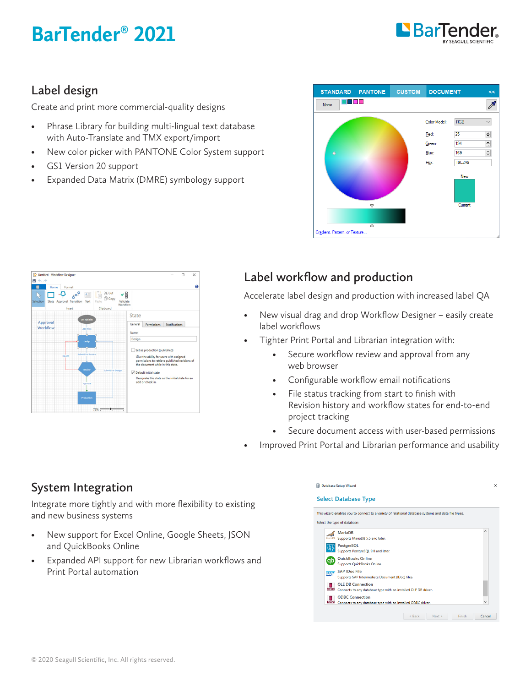## **BarTender® 2021**



### **Label design**

Create and print more commercial-quality designs

- Phrase Library for building multi-lingual text database with Auto-Translate and TMX export/import
- New color picker with PANTONE Color System support
- GS1 Version 20 support
- Expanded Data Matrix (DMRE) symbology support





### **Label workflow and production**

Accelerate label design and production with increased label QA

- New visual drag and drop Workflow Designer easily create label workflows
- Tighter Print Portal and Librarian integration with:
	- Secure workflow review and approval from any web browser
	- Configurable workflow email notifications
	- File status tracking from start to finish with Revision history and workflow states for end-to-end project tracking
	- Secure document access with user-based permissions
- Improved Print Portal and Librarian performance and usability

### **System Integration**

Integrate more tightly and with more flexibility to existing and new business systems

- New support for Excel Online, Google Sheets, JSON and QuickBooks Online
- Expanded API support for new Librarian workflows and Print Portal automation

|              | This wizard enables you to connect to a variety of relational database systems and data file types. |          |
|--------------|-----------------------------------------------------------------------------------------------------|----------|
|              | Select the type of database:                                                                        |          |
|              | <b>MariaDB</b>                                                                                      | $\wedge$ |
| MariaDB      | Supports MariaDB 5.5 and later.                                                                     |          |
|              | PostgreSQL<br>Supports PostgreSQL 9.0 and later.                                                    |          |
|              | <b>QuickBooks Online</b>                                                                            |          |
| (dp          | Supports QuickBooks Online.                                                                         |          |
| <b>SAP</b>   | <b>SAP IDoc File</b>                                                                                |          |
|              | Supports SAP Intermediate Document (IDoc) files.                                                    |          |
| <b>OLEDS</b> | <b>OLE DB Connection</b>                                                                            |          |
|              | Connects to any database type with an installed OLE DB driver.                                      |          |
| м<br>ODBC    | <b>ODBC Connection</b><br>Connects to any database type with an installed ODBC driver.              |          |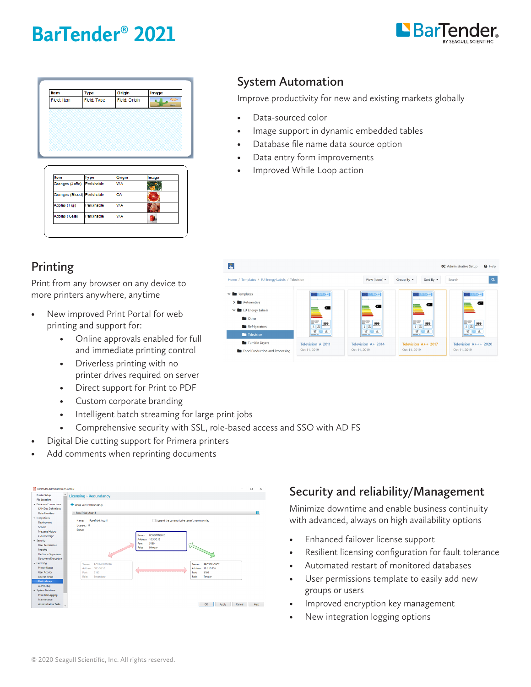## **BarTender® 2021**



| Item        | <b>Type</b> | Origin        | Image      |
|-------------|-------------|---------------|------------|
| Field: Item | Field: Type | Field: Origin | C. D<br>ш. |
|             |             |               |            |
|             |             |               |            |
|             |             |               |            |
|             |             |               |            |

| Item                       | Type       | Origin    | Image |
|----------------------------|------------|-----------|-------|
| Oranges (Jaffa) Perishable |            | <b>WA</b> |       |
| Oranges (Blood) Perishable |            | CA        |       |
| Apples (Fuji)              | Perishable | <b>WA</b> |       |
| Apples (Gala)              | Perishable | <b>WA</b> |       |

## **System Automation**

Improve productivity for new and existing markets globally

- Data-sourced color
- Image support in dynamic embedded tables
- Database file name data source option
- Data entry form improvements
- Improved While Loop action

| L                                                                                                                                  |                                                                                                                                                           |                                                                                                                            |                                                                                                                                                  | <b>O</b> Help<br><b>Q</b> <sup>o</sup> Administrative Setup                                                                                                    |
|------------------------------------------------------------------------------------------------------------------------------------|-----------------------------------------------------------------------------------------------------------------------------------------------------------|----------------------------------------------------------------------------------------------------------------------------|--------------------------------------------------------------------------------------------------------------------------------------------------|----------------------------------------------------------------------------------------------------------------------------------------------------------------|
| Home / Templates / EU Energy Labels / Television                                                                                   |                                                                                                                                                           | View (Icons) -                                                                                                             | Group By $\blacktriangledown$<br>Sort By $\blacktriangledown$                                                                                    | $\alpha$<br>Search                                                                                                                                             |
| $\vee$ <b>I</b> Templates<br>$\sum$ Automotive<br>V EU Energy Labels<br><b>Communication</b><br>Refrigerators<br><b>Television</b> | <b>INERGOO</b><br>Œ<br><b>ROOM DIRECT</b><br><b>ROOM</b> ONES<br>999<br>kitch/annum<br>å<br>$\frac{1}{2}$<br>$\frac{107}{10}$<br>品<br><b>NOVEMA - FOR</b> | NERG <sup>99</sup><br><b>BOAT</b><br>999<br>$8 - 39$<br><b>KAN/annum</b><br>$\frac{107}{10}$<br>忍<br><b>NIGHTING</b> (RDA) | <b>ENERG 99</b><br>FF<br>999<br>$\frac{99}{100}$<br><b><i>krahylannum</i></b><br>ø.<br>$\frac{107}{10}$<br>$\mathfrak{B}$<br><b>NIA'ear</b> Inch | <b>INERGOO</b><br>$\overline{\phantom{a}}$<br>图案<br>999<br>$\frac{99}{100}$<br><b>MARAZINIA</b><br>۰<br>$\frac{107}{10}$<br>$\mathfrak{B}$<br><b>MAYNE-JOS</b> |
| Tumble Dryers<br>Food Production and Processing                                                                                    | <b>Television A 2011</b><br>Oct 11, 2019                                                                                                                  | Television A+ 2014<br>Oct 11, 2019                                                                                         | Television A++ 2017<br>Oct 11, 2019                                                                                                              | Television A+++ 2020<br>Oct 11, 2019                                                                                                                           |

### **Printing**

Print from any browser on any device to more printers anywhere, anytime

- New improved Print Portal for web printing and support for:
	- Online approvals enabled for full and immediate printing control
	- Driverless printing with no printer drives required on server
	- Direct support for Print to PDF
	- Custom corporate branding
	- Intelligent batch streaming for large print jobs
	- Comprehensive security with SSL, role-based access and SSO with AD FS
- Digital Die cutting support for Primera printers
- Add comments when reprinting documents



### **Security and reliability/Management**

Minimize downtime and enable business continuity with advanced, always on high availability options

- Enhanced failover license support
- Resilient licensing configuration for fault tolerance
- Automated restart of monitored databases
- User permissions template to easily add new groups or users
- Improved encryption key management
- New integration logging options